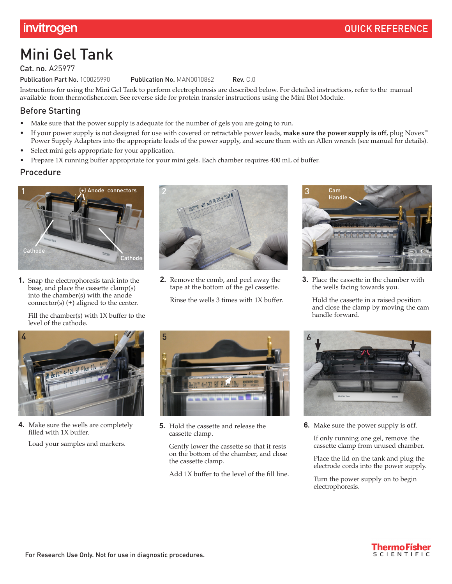# Mini Gel Tank

Cat. no. A25977

Publication Part No. 100025990 Publication No. MAN0010862 Rev. C.0

Instructions for using the Mini Gel Tank to perform electrophoresis are described below. For detailed instructions, refer to the manual available from thermofishe[r.com](http://www.thermofisher.com). See reverse side for protein transfer instructions using the Mini Blot Module.

# Before Starting

- Make sure that the power supply is adequate for the number of gels you are going to run.
- If your power supply is not designed for use with covered or retractable power leads, **make sure the power supply is off**, plug Novex™ Power Supply Adapters into the appropriate leads of the power supply, and secure them with an Allen wrench (see manual for details).
- Select mini gels appropriate for your application.
- Prepare 1X running buffer appropriate for your mini gels. Each chamber requires 400 mL of buffer.

### Procedure



**1.** Snap the electrophoresis tank into the base, and place the cassette clamp(s) into the chamber(s) with the anode connector(s) (+) aligned to the center.

Fill the chamber(s) with 1X buffer to the level of the cathode.



**2.** Remove the comb, and peel away the tape at the bottom of the gel cassette. Rinse the wells 3 times with 1X buffer.



**3.** Place the cassette in the chamber with the wells facing towards you.

Hold the cassette in a raised position and close the clamp by moving the cam handle forward.



**4.** Make sure the wells are completely filled with 1X buffer.

Load your samples and markers.



**5.** Hold the cassette and release the cassette clamp.

Gently lower the cassette so that it rests on the bottom of the chamber, and close the cassette clamp.

Add 1X buffer to the level of the fill line.



**6.** Make sure the power supply is **off**.

If only running one gel, remove the cassette clamp from unused chamber.

Place the lid on the tank and plug the electrode cords into the power supply.

Turn the power supply on to begin electrophoresis.